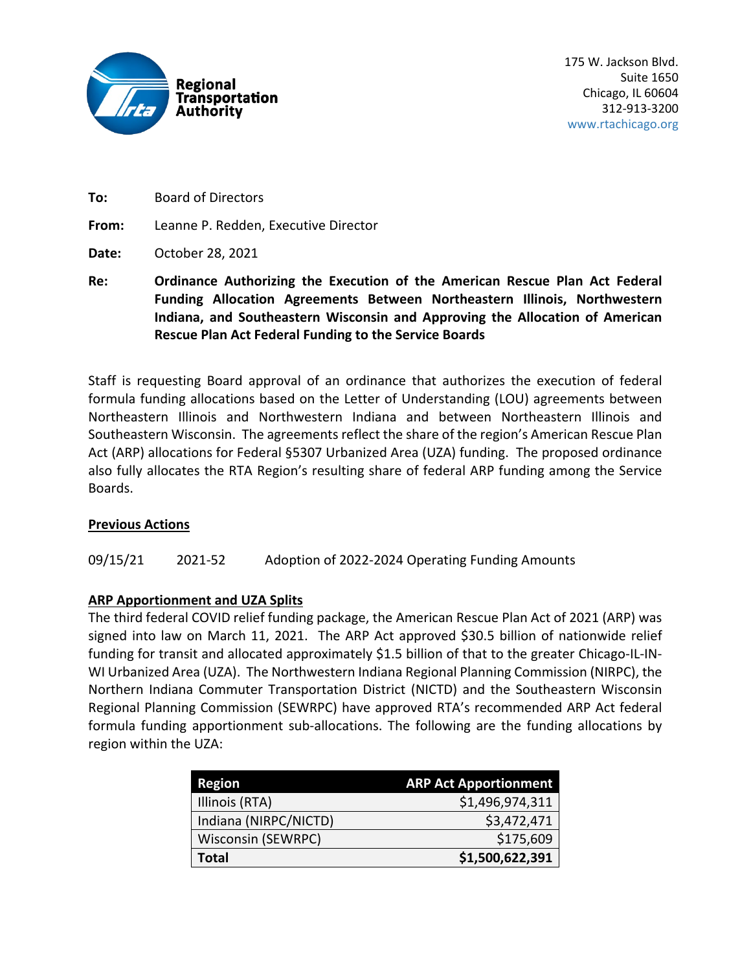

**To:** Board of Directors

**From:** Leanne P. Redden, Executive Director

- **Date:** October 28, 2021
- **Re: Ordinance Authorizing the Execution of the American Rescue Plan Act Federal Funding Allocation Agreements Between Northeastern Illinois, Northwestern Indiana, and Southeastern Wisconsin and Approving the Allocation of American Rescue Plan Act Federal Funding to the Service Boards**

Staff is requesting Board approval of an ordinance that authorizes the execution of federal formula funding allocations based on the Letter of Understanding (LOU) agreements between Northeastern Illinois and Northwestern Indiana and between Northeastern Illinois and Southeastern Wisconsin. The agreements reflect the share of the region's American Rescue Plan Act (ARP) allocations for Federal §5307 Urbanized Area (UZA) funding. The proposed ordinance also fully allocates the RTA Region's resulting share of federal ARP funding among the Service Boards.

## **Previous Actions**

09/15/21 2021-52 Adoption of 2022-2024 Operating Funding Amounts

## **ARP Apportionment and UZA Splits**

The third federal COVID relief funding package, the American Rescue Plan Act of 2021 (ARP) was signed into law on March 11, 2021. The ARP Act approved \$30.5 billion of nationwide relief funding for transit and allocated approximately \$1.5 billion of that to the greater Chicago-IL-IN-WI Urbanized Area (UZA). The Northwestern Indiana Regional Planning Commission (NIRPC), the Northern Indiana Commuter Transportation District (NICTD) and the Southeastern Wisconsin Regional Planning Commission (SEWRPC) have approved RTA's recommended ARP Act federal formula funding apportionment sub-allocations. The following are the funding allocations by region within the UZA:

| <b>Region</b>             | <b>ARP Act Apportionment</b> |
|---------------------------|------------------------------|
| Illinois (RTA)            | \$1,496,974,311              |
| Indiana (NIRPC/NICTD)     | \$3,472,471                  |
| <b>Wisconsin (SEWRPC)</b> | \$175,609                    |
| <b>Total</b>              | \$1,500,622,391              |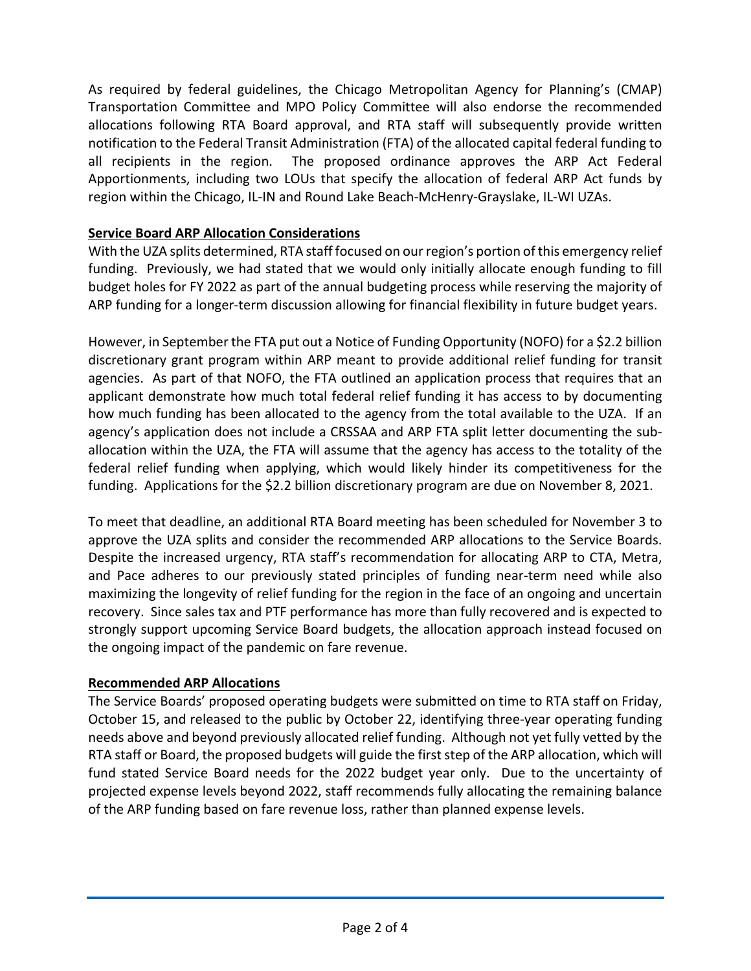As required by federal guidelines, the Chicago Metropolitan Agency for Planning's (CMAP) Transportation Committee and MPO Policy Committee will also endorse the recommended allocations following RTA Board approval, and RTA staff will subsequently provide written notification to the Federal Transit Administration (FTA) of the allocated capital federal funding to all recipients in the region. The proposed ordinance approves the ARP Act Federal Apportionments, including two LOUs that specify the allocation of federal ARP Act funds by region within the Chicago, IL-IN and Round Lake Beach-McHenry-Grayslake, IL-WI UZAs.

## **Service Board ARP Allocation Considerations**

With the UZA splits determined, RTA staff focused on our region's portion of this emergency relief funding. Previously, we had stated that we would only initially allocate enough funding to fill budget holes for FY 2022 as part of the annual budgeting process while reserving the majority of ARP funding for a longer-term discussion allowing for financial flexibility in future budget years.

However, in September the FTA put out a Notice of Funding Opportunity (NOFO) for a \$2.2 billion discretionary grant program within ARP meant to provide additional relief funding for transit agencies. As part of that NOFO, the FTA outlined an application process that requires that an applicant demonstrate how much total federal relief funding it has access to by documenting how much funding has been allocated to the agency from the total available to the UZA. If an agency's application does not include a CRSSAA and ARP FTA split letter documenting the suballocation within the UZA, the FTA will assume that the agency has access to the totality of the federal relief funding when applying, which would likely hinder its competitiveness for the funding. Applications for the \$2.2 billion discretionary program are due on November 8, 2021.

To meet that deadline, an additional RTA Board meeting has been scheduled for November 3 to approve the UZA splits and consider the recommended ARP allocations to the Service Boards. Despite the increased urgency, RTA staff's recommendation for allocating ARP to CTA, Metra, and Pace adheres to our previously stated principles of funding near-term need while also maximizing the longevity of relief funding for the region in the face of an ongoing and uncertain recovery. Since sales tax and PTF performance has more than fully recovered and is expected to strongly support upcoming Service Board budgets, the allocation approach instead focused on the ongoing impact of the pandemic on fare revenue.

## **Recommended ARP Allocations**

The Service Boards' proposed operating budgets were submitted on time to RTA staff on Friday, October 15, and released to the public by October 22, identifying three-year operating funding needs above and beyond previously allocated relief funding. Although not yet fully vetted by the RTA staff or Board, the proposed budgets will guide the first step of the ARP allocation, which will fund stated Service Board needs for the 2022 budget year only. Due to the uncertainty of projected expense levels beyond 2022, staff recommends fully allocating the remaining balance of the ARP funding based on fare revenue loss, rather than planned expense levels.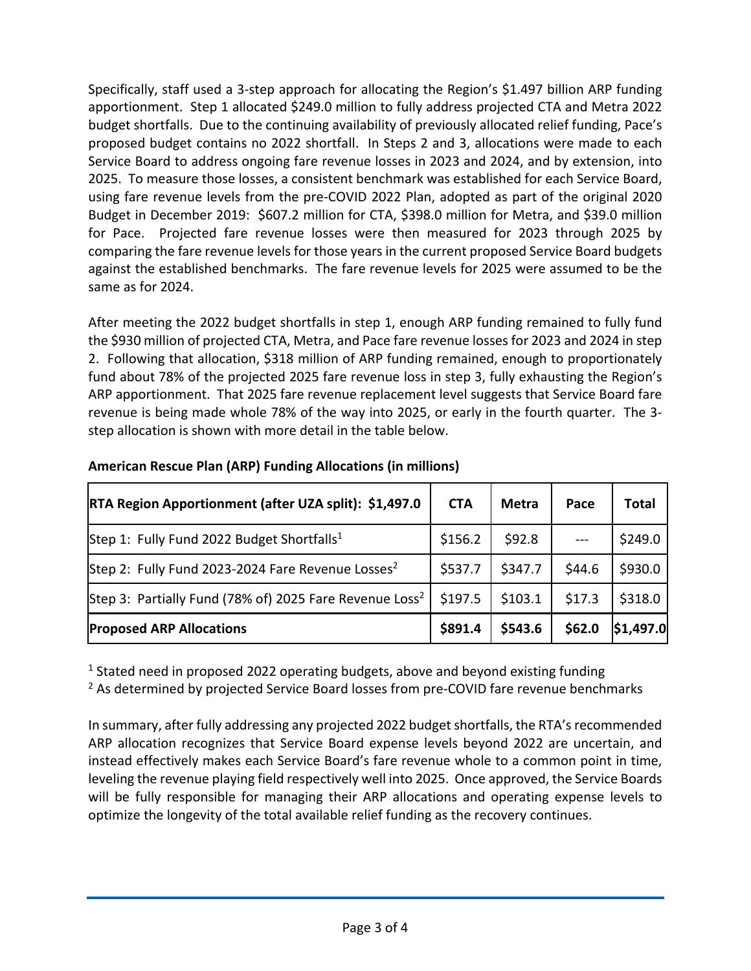Specifically, staff used a 3-step approach for allocating the Region's \$1.497 billion ARP funding apportionment. Step 1 allocated \$249.0 million to fully address projected CTA and Metra 2022 budget shortfalls. Due to the continuing availability of previously allocated relief funding, Pace's proposed budget contains no 2022 shortfall. In Steps 2 and 3, allocations were made to each Service Board to address ongoing fare revenue losses in 2023 and 2024, and by extension, into 2025. To measure those losses, a consistent benchmark was established for each Service Board, using fare revenue levels from the pre-COVID 2022 Plan, adopted as part of the original 2020 Budget in December 2019: \$607.2 million for CTA, \$398.0 million for Metra, and \$39.0 million for Pace. Projected fare revenue losses were then measured for 2023 through 2025 by comparing the fare revenue levels for those years in the current proposed Service Board budgets against the established benchmarks. The fare revenue levels for 2025 were assumed to be the same as for 2024.

After meeting the 2022 budget shortfalls in step 1, enough ARP funding remained to fully fund the \$930 million of projected CTA, Metra, and Pace fare revenue losses for 2023 and 2024 in step 2. Following that allocation, \$318 million of ARP funding remained, enough to proportionately fund about 78% of the projected 2025 fare revenue loss in step 3, fully exhausting the Region's ARP apportionment. That 2025 fare revenue replacement level suggests that Service Board fare revenue is being made whole 78% of the way into 2025, or early in the fourth quarter. The 3 step allocation is shown with more detail in the table below.

| RTA Region Apportionment (after UZA split): \$1,497.0               | <b>CTA</b> | <b>Metra</b> | Pace   | <b>Total</b> |
|---------------------------------------------------------------------|------------|--------------|--------|--------------|
| Step 1: Fully Fund 2022 Budget Shortfalls <sup>1</sup>              | \$156.2    | \$92.8       |        | \$249.0      |
| Step 2: Fully Fund 2023-2024 Fare Revenue Losses <sup>2</sup>       | \$537.7    | \$347.7      | \$44.6 | \$930.0      |
| Step 3: Partially Fund (78% of) 2025 Fare Revenue Loss <sup>2</sup> | \$197.5    | \$103.1      | \$17.3 | \$318.0      |
| <b>Proposed ARP Allocations</b>                                     | \$891.4    | \$543.6      | \$62.0 | \$1,497.0    |

## **American Rescue Plan (ARP) Funding Allocations (in millions)**

<sup>1</sup> Stated need in proposed 2022 operating budgets, above and beyond existing funding

<sup>2</sup> As determined by projected Service Board losses from pre-COVID fare revenue benchmarks

In summary, after fully addressing any projected 2022 budget shortfalls, the RTA's recommended ARP allocation recognizes that Service Board expense levels beyond 2022 are uncertain, and instead effectively makes each Service Board's fare revenue whole to a common point in time, leveling the revenue playing field respectively well into 2025. Once approved, the Service Boards will be fully responsible for managing their ARP allocations and operating expense levels to optimize the longevity of the total available relief funding as the recovery continues.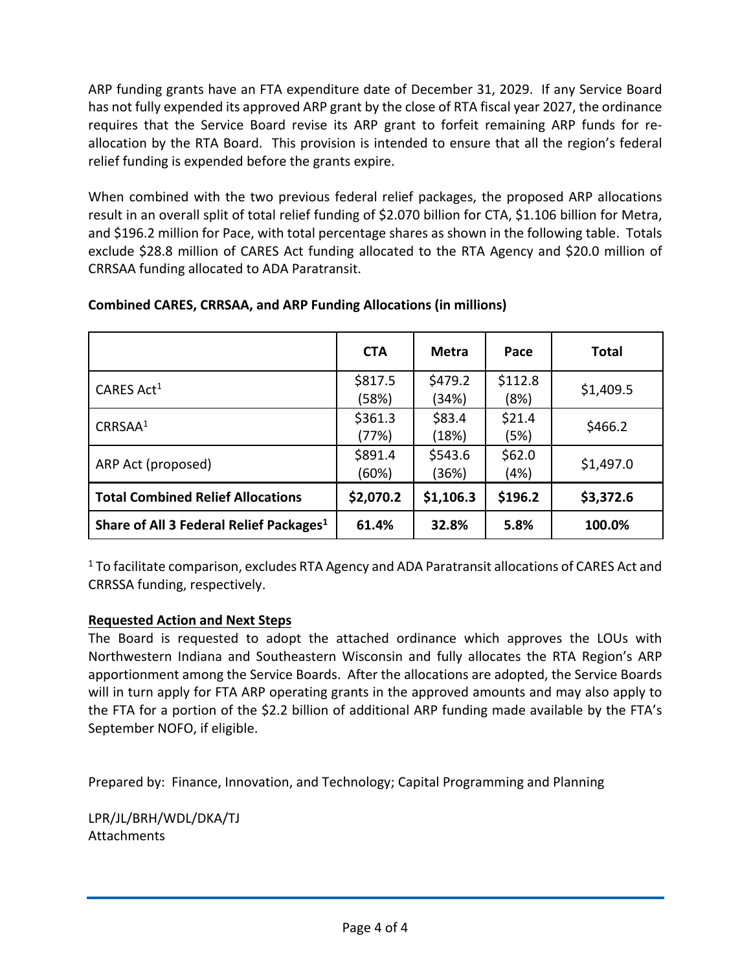ARP funding grants have an FTA expenditure date of December 31, 2029. If any Service Board has not fully expended its approved ARP grant by the close of RTA fiscal year 2027, the ordinance requires that the Service Board revise its ARP grant to forfeit remaining ARP funds for reallocation by the RTA Board. This provision is intended to ensure that all the region's federal relief funding is expended before the grants expire.

When combined with the two previous federal relief packages, the proposed ARP allocations result in an overall split of total relief funding of \$2.070 billion for CTA, \$1.106 billion for Metra, and \$196.2 million for Pace, with total percentage shares as shown in the following table. Totals exclude \$28.8 million of CARES Act funding allocated to the RTA Agency and \$20.0 million of CRRSAA funding allocated to ADA Paratransit.

|                                                     | <b>CTA</b>       | <b>Metra</b>     | Pace            | <b>Total</b> |
|-----------------------------------------------------|------------------|------------------|-----------------|--------------|
| CARES Act <sup>1</sup>                              | \$817.5<br>(58%) | \$479.2<br>(34%) | \$112.8<br>(8%) | \$1,409.5    |
| CRRSAA <sup>1</sup>                                 | \$361.3<br>(77%) | \$83.4<br>(18%)  | \$21.4<br>(5%)  | \$466.2      |
| ARP Act (proposed)                                  | \$891.4<br>(60%) | \$543.6<br>(36%) | \$62.0<br>(4%)  | \$1,497.0    |
| <b>Total Combined Relief Allocations</b>            | \$2,070.2        | \$1,106.3        | \$196.2         | \$3,372.6    |
| Share of All 3 Federal Relief Packages <sup>1</sup> | 61.4%            | 32.8%            | 5.8%            | 100.0%       |

## **Combined CARES, CRRSAA, and ARP Funding Allocations (in millions)**

<sup>1</sup> To facilitate comparison, excludes RTA Agency and ADA Paratransit allocations of CARES Act and CRRSSA funding, respectively.

# **Requested Action and Next Steps**

The Board is requested to adopt the attached ordinance which approves the LOUs with Northwestern Indiana and Southeastern Wisconsin and fully allocates the RTA Region's ARP apportionment among the Service Boards. After the allocations are adopted, the Service Boards will in turn apply for FTA ARP operating grants in the approved amounts and may also apply to the FTA for a portion of the \$2.2 billion of additional ARP funding made available by the FTA's September NOFO, if eligible.

Prepared by: Finance, Innovation, and Technology; Capital Programming and Planning

LPR/JL/BRH/WDL/DKA/TJ **Attachments**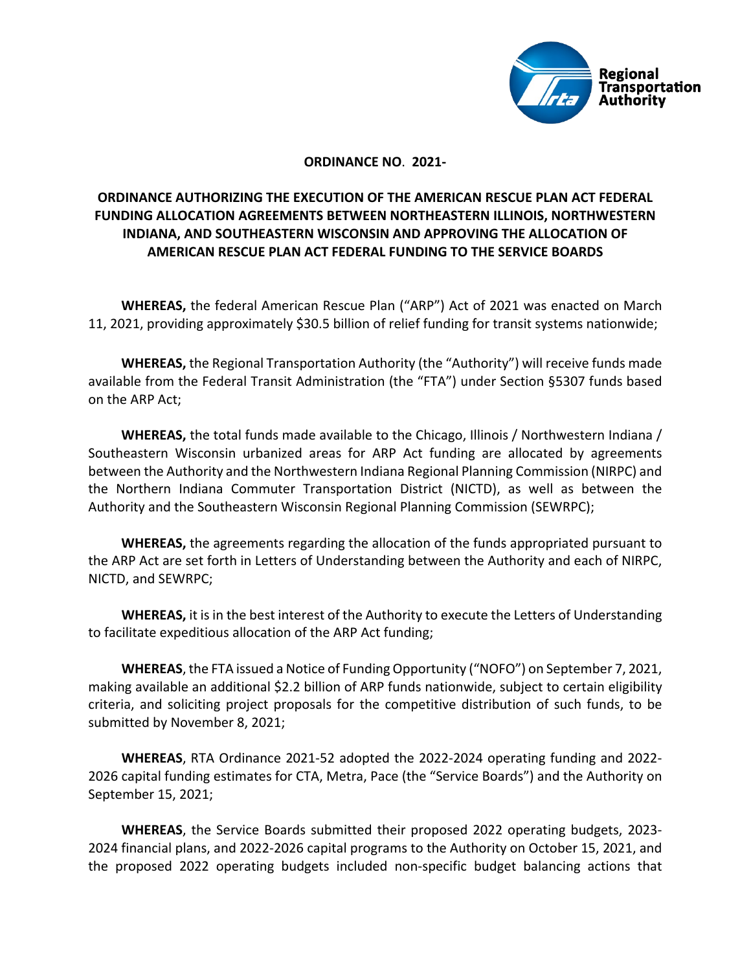

### **ORDINANCE NO**. **2021-**

## **ORDINANCE AUTHORIZING THE EXECUTION OF THE AMERICAN RESCUE PLAN ACT FEDERAL FUNDING ALLOCATION AGREEMENTS BETWEEN NORTHEASTERN ILLINOIS, NORTHWESTERN INDIANA, AND SOUTHEASTERN WISCONSIN AND APPROVING THE ALLOCATION OF AMERICAN RESCUE PLAN ACT FEDERAL FUNDING TO THE SERVICE BOARDS**

**WHEREAS,** the federal American Rescue Plan ("ARP") Act of 2021 was enacted on March 11, 2021, providing approximately \$30.5 billion of relief funding for transit systems nationwide;

**WHEREAS,** the Regional Transportation Authority (the "Authority") will receive funds made available from the Federal Transit Administration (the "FTA") under Section §5307 funds based on the ARP Act;

**WHEREAS,** the total funds made available to the Chicago, Illinois / Northwestern Indiana / Southeastern Wisconsin urbanized areas for ARP Act funding are allocated by agreements between the Authority and the Northwestern Indiana Regional Planning Commission (NIRPC) and the Northern Indiana Commuter Transportation District (NICTD), as well as between the Authority and the Southeastern Wisconsin Regional Planning Commission (SEWRPC);

**WHEREAS,** the agreements regarding the allocation of the funds appropriated pursuant to the ARP Act are set forth in Letters of Understanding between the Authority and each of NIRPC, NICTD, and SEWRPC;

**WHEREAS,** it is in the best interest of the Authority to execute the Letters of Understanding to facilitate expeditious allocation of the ARP Act funding;

**WHEREAS**, the FTA issued a Notice of Funding Opportunity ("NOFO") on September 7, 2021, making available an additional \$2.2 billion of ARP funds nationwide, subject to certain eligibility criteria, and soliciting project proposals for the competitive distribution of such funds, to be submitted by November 8, 2021;

**WHEREAS**, RTA Ordinance 2021-52 adopted the 2022-2024 operating funding and 2022- 2026 capital funding estimates for CTA, Metra, Pace (the "Service Boards") and the Authority on September 15, 2021;

**WHEREAS**, the Service Boards submitted their proposed 2022 operating budgets, 2023- 2024 financial plans, and 2022-2026 capital programs to the Authority on October 15, 2021, and the proposed 2022 operating budgets included non-specific budget balancing actions that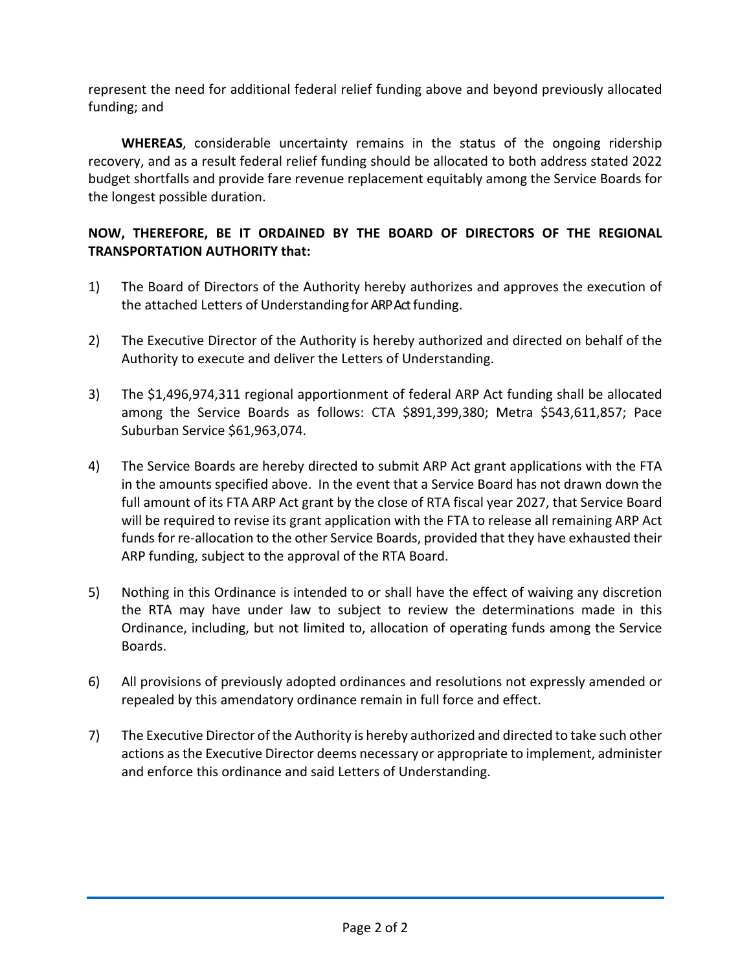represent the need for additional federal relief funding above and beyond previously allocated funding; and

**WHEREAS**, considerable uncertainty remains in the status of the ongoing ridership recovery, and as a result federal relief funding should be allocated to both address stated 2022 budget shortfalls and provide fare revenue replacement equitably among the Service Boards for the longest possible duration.

## **NOW, THEREFORE, BE IT ORDAINED BY THE BOARD OF DIRECTORS OF THE REGIONAL TRANSPORTATION AUTHORITY that:**

- 1) The Board of Directors of the Authority hereby authorizes and approves the execution of the attached Letters of Understanding for ARP Act funding.
- 2) The Executive Director of the Authority is hereby authorized and directed on behalf of the Authority to execute and deliver the Letters of Understanding.
- 3) The \$1,496,974,311 regional apportionment of federal ARP Act funding shall be allocated among the Service Boards as follows: CTA \$891,399,380; Metra \$543,611,857; Pace Suburban Service \$61,963,074.
- 4) The Service Boards are hereby directed to submit ARP Act grant applications with the FTA in the amounts specified above. In the event that a Service Board has not drawn down the full amount of its FTA ARP Act grant by the close of RTA fiscal year 2027, that Service Board will be required to revise its grant application with the FTA to release all remaining ARP Act funds for re-allocation to the other Service Boards, provided that they have exhausted their ARP funding, subject to the approval of the RTA Board.
- 5) Nothing in this Ordinance is intended to or shall have the effect of waiving any discretion the RTA may have under law to subject to review the determinations made in this Ordinance, including, but not limited to, allocation of operating funds among the Service Boards.
- 6) All provisions of previously adopted ordinances and resolutions not expressly amended or repealed by this amendatory ordinance remain in full force and effect.
- 7) The Executive Director of the Authority is hereby authorized and directed to take such other actions as the Executive Director deems necessary or appropriate to implement, administer and enforce this ordinance and said Letters of Understanding.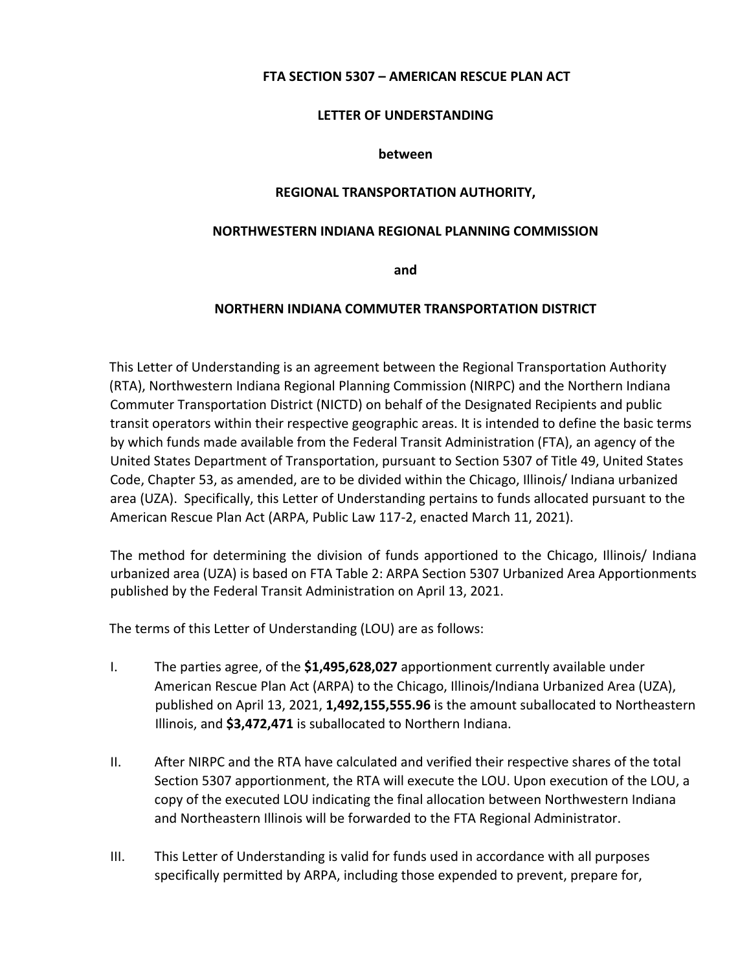### **FTA SECTION 5307 – AMERICAN RESCUE PLAN ACT**

#### **LETTER OF UNDERSTANDING**

#### **between**

### **REGIONAL TRANSPORTATION AUTHORITY,**

### **NORTHWESTERN INDIANA REGIONAL PLANNING COMMISSION**

**and** 

### **NORTHERN INDIANA COMMUTER TRANSPORTATION DISTRICT**

This Letter of Understanding is an agreement between the Regional Transportation Authority (RTA), Northwestern Indiana Regional Planning Commission (NIRPC) and the Northern Indiana Commuter Transportation District (NICTD) on behalf of the Designated Recipients and public transit operators within their respective geographic areas. It is intended to define the basic terms by which funds made available from the Federal Transit Administration (FTA), an agency of the United States Department of Transportation, pursuant to Section 5307 of Title 49, United States Code, Chapter 53, as amended, are to be divided within the Chicago, Illinois/ Indiana urbanized area (UZA). Specifically, this Letter of Understanding pertains to funds allocated pursuant to the American Rescue Plan Act (ARPA, Public Law 117-2, enacted March 11, 2021).

The method for determining the division of funds apportioned to the Chicago, Illinois/ Indiana urbanized area (UZA) is based on FTA Table 2: ARPA Section 5307 Urbanized Area Apportionments published by the Federal Transit Administration on April 13, 2021.

The terms of this Letter of Understanding (LOU) are as follows:

- I. The parties agree, of the **\$1,495,628,027** apportionment currently available under American Rescue Plan Act (ARPA) to the Chicago, Illinois/Indiana Urbanized Area (UZA), published on April 13, 2021, **1,492,155,555.96** is the amount suballocated to Northeastern Illinois, and **\$3,472,471** is suballocated to Northern Indiana.
- II. After NIRPC and the RTA have calculated and verified their respective shares of the total Section 5307 apportionment, the RTA will execute the LOU. Upon execution of the LOU, a copy of the executed LOU indicating the final allocation between Northwestern Indiana and Northeastern Illinois will be forwarded to the FTA Regional Administrator.
- III. This Letter of Understanding is valid for funds used in accordance with all purposes specifically permitted by ARPA, including those expended to prevent, prepare for,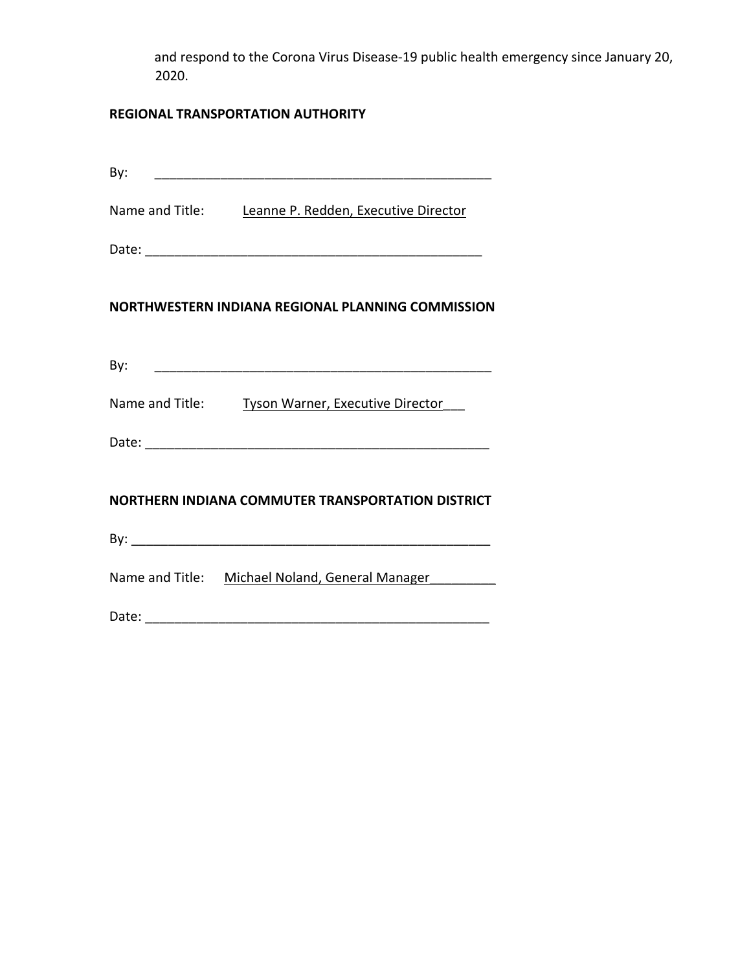and respond to the Corona Virus Disease-19 public health emergency since January 20, 2020.

# **REGIONAL TRANSPORTATION AUTHORITY**

| By: |                                                      |
|-----|------------------------------------------------------|
|     | Name and Title: Leanne P. Redden, Executive Director |
|     |                                                      |
|     | NORTHWESTERN INDIANA REGIONAL PLANNING COMMISSION    |
|     |                                                      |
|     | Name and Title: Tyson Warner, Executive Director     |
|     |                                                      |
|     | NORTHERN INDIANA COMMUTER TRANSPORTATION DISTRICT    |
|     |                                                      |
|     | Name and Title: Michael Noland, General Manager      |
|     |                                                      |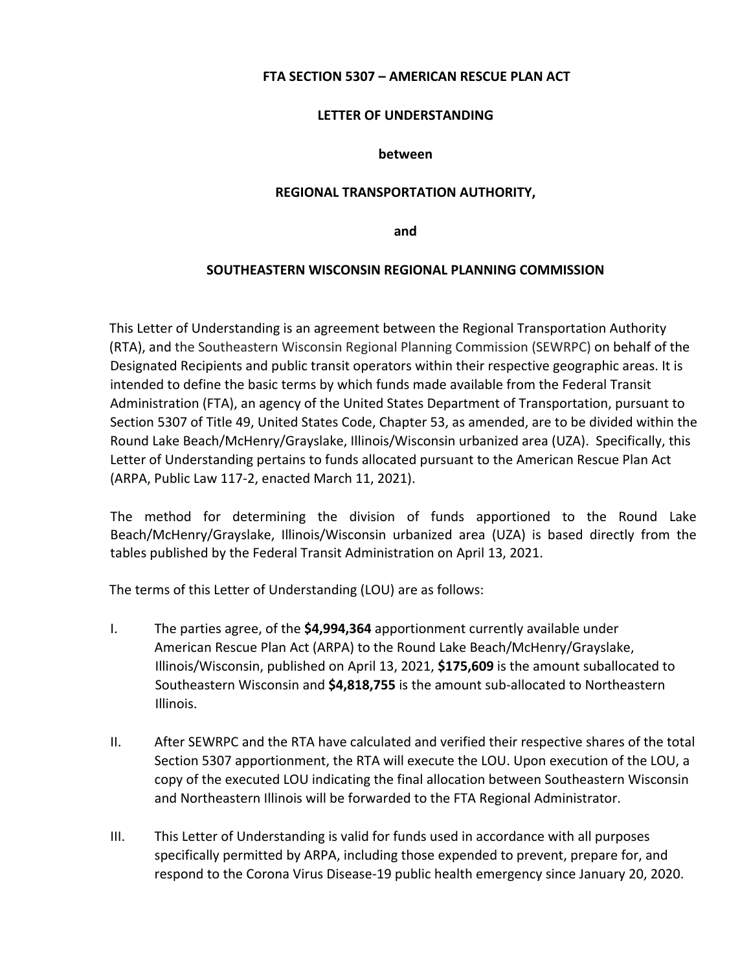### **FTA SECTION 5307 – AMERICAN RESCUE PLAN ACT**

### **LETTER OF UNDERSTANDING**

#### **between**

#### **REGIONAL TRANSPORTATION AUTHORITY,**

**and**

#### **SOUTHEASTERN WISCONSIN REGIONAL PLANNING COMMISSION**

This Letter of Understanding is an agreement between the Regional Transportation Authority (RTA), and the Southeastern Wisconsin Regional Planning Commission (SEWRPC) on behalf of the Designated Recipients and public transit operators within their respective geographic areas. It is intended to define the basic terms by which funds made available from the Federal Transit Administration (FTA), an agency of the United States Department of Transportation, pursuant to Section 5307 of Title 49, United States Code, Chapter 53, as amended, are to be divided within the Round Lake Beach/McHenry/Grayslake, Illinois/Wisconsin urbanized area (UZA). Specifically, this Letter of Understanding pertains to funds allocated pursuant to the American Rescue Plan Act (ARPA, Public Law 117‐2, enacted March 11, 2021).

The method for determining the division of funds apportioned to the Round Lake Beach/McHenry/Grayslake, Illinois/Wisconsin urbanized area (UZA) is based directly from the tables published by the Federal Transit Administration on April 13, 2021.

The terms of this Letter of Understanding (LOU) are as follows:

- I. The parties agree, of the **\$4,994,364** apportionment currently available under American Rescue Plan Act (ARPA) to the Round Lake Beach/McHenry/Grayslake, Illinois/Wisconsin, published on April 13, 2021, **\$175,609** is the amount suballocated to Southeastern Wisconsin and **\$4,818,755** is the amount sub‐allocated to Northeastern Illinois.
- II. After SEWRPC and the RTA have calculated and verified their respective shares of the total Section 5307 apportionment, the RTA will execute the LOU. Upon execution of the LOU, a copy of the executed LOU indicating the final allocation between Southeastern Wisconsin and Northeastern Illinois will be forwarded to the FTA Regional Administrator.
- III. This Letter of Understanding is valid for funds used in accordance with all purposes specifically permitted by ARPA, including those expended to prevent, prepare for, and respond to the Corona Virus Disease‐19 public health emergency since January 20, 2020.